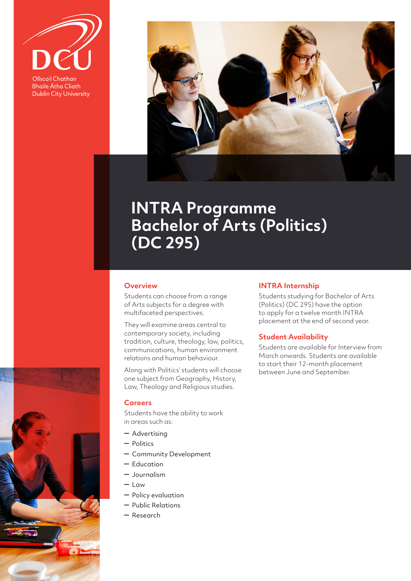Ollscoil Chathair

**Bhaile Átha Cliath Dublin City University** 



# **INTRA Programme Bachelor of Arts (Politics) (DC 295)**

## **Overview**

Students can choose from a range of Arts subjects for a degree with multifaceted perspectives.

They will examine areas central to contemporary society, including tradition, culture, theology, law, politics, communications, human environment relations and human behaviour.

Along with Politics' students will choose one subject from Geography, History, Law, Theology and Religious studies.

#### **Careers**

Students have the ability to work in areas such as:

- Advertising
- Politics
- Community Development
- Education
- Journalism
- Law
- Policy evaluation
- Public Relations
- Research

#### **INTRA Internship**

Students studying for Bachelor of Arts (Politics) (DC 295) have the option to apply for a twelve month INTRA placement at the end of second year.

### **Student Availability**

Students are available for Interview from March onwards. Students are available to start their 12-month placement between June and September.